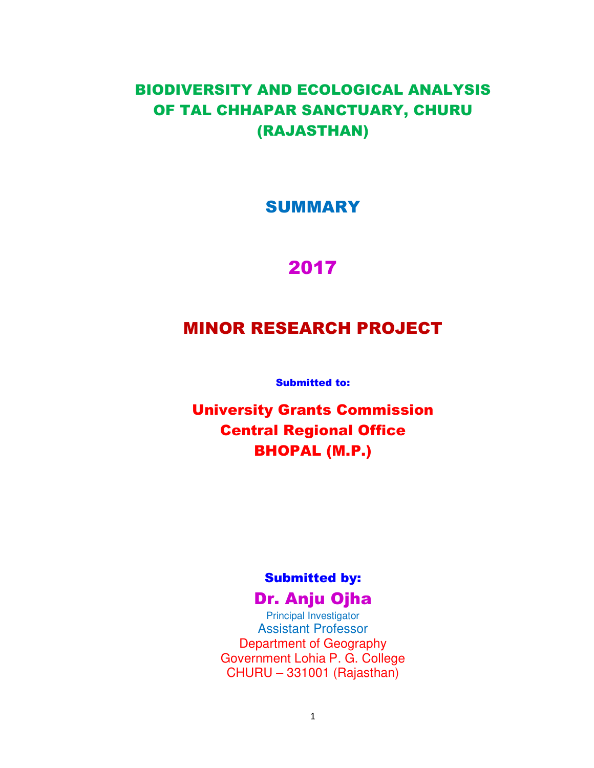# BIODIVERSITY AND ECOLOGICAL ANALYSIS OF TAL CHHAPAR SANCTUARY, CHURU (RAJASTHAN)

# SUMMARY

# 2017

# MINOR RESEARCH PROJECT

Submitted to:

University Grants Commission Central Regional Office BHOPAL (M.P.)

# Submitted by:

# Dr. Anju Ojha

Principal Investigator Assistant Professor Department of Geography Government Lohia P. G. College CHURU – 331001 (Rajasthan)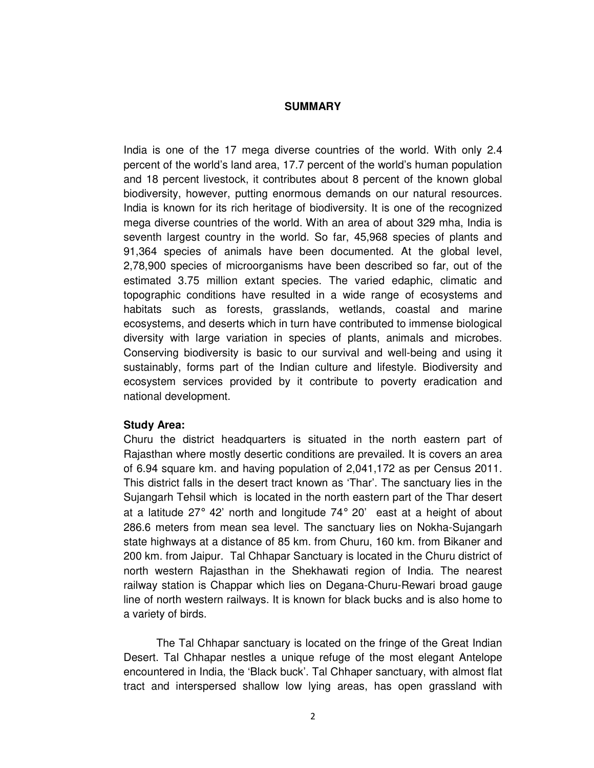#### **SUMMARY**

India is one of the 17 mega diverse countries of the world. With only 2.4 percent of the world's land area, 17.7 percent of the world's human population and 18 percent livestock, it contributes about 8 percent of the known global biodiversity, however, putting enormous demands on our natural resources. India is known for its rich heritage of biodiversity. It is one of the recognized mega diverse countries of the world. With an area of about 329 mha, India is seventh largest country in the world. So far, 45,968 species of plants and 91,364 species of animals have been documented. At the global level, 2,78,900 species of microorganisms have been described so far, out of the estimated 3.75 million extant species. The varied edaphic, climatic and topographic conditions have resulted in a wide range of ecosystems and habitats such as forests, grasslands, wetlands, coastal and marine ecosystems, and deserts which in turn have contributed to immense biological diversity with large variation in species of plants, animals and microbes. Conserving biodiversity is basic to our survival and well-being and using it sustainably, forms part of the Indian culture and lifestyle. Biodiversity and ecosystem services provided by it contribute to poverty eradication and national development.

#### **Study Area:**

Churu the district headquarters is situated in the north eastern part of Rajasthan where mostly desertic conditions are prevailed. It is covers an area of 6.94 square km. and having population of 2,041,172 as per Census 2011. This district falls in the desert tract known as 'Thar'. The sanctuary lies in the Sujangarh Tehsil which is located in the north eastern part of the Thar desert at a latitude 27 $\degree$  42' north and longitude 74 $\degree$  20' east at a height of about 286.6 meters from mean sea level. The sanctuary lies on Nokha-Sujangarh state highways at a distance of 85 km. from Churu, 160 km. from Bikaner and 200 km. from Jaipur. Tal Chhapar Sanctuary is located in the Churu district of north western Rajasthan in the Shekhawati region of India. The nearest railway station is Chappar which lies on Degana-Churu-Rewari broad gauge line of north western railways. It is known for black bucks and is also home to a variety of birds.

The Tal Chhapar sanctuary is located on the fringe of the Great Indian Desert. Tal Chhapar nestles a unique refuge of the most elegant Antelope encountered in India, the 'Black buck'. Tal Chhaper sanctuary, with almost flat tract and interspersed shallow low lying areas, has open grassland with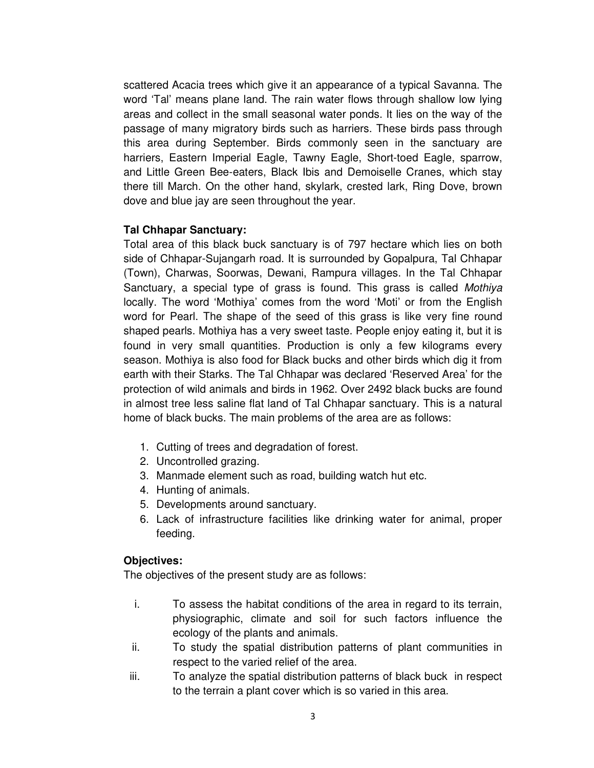scattered Acacia trees which give it an appearance of a typical Savanna. The word 'Tal' means plane land. The rain water flows through shallow low lying areas and collect in the small seasonal water ponds. It lies on the way of the passage of many migratory birds such as harriers. These birds pass through this area during September. Birds commonly seen in the sanctuary are harriers, Eastern Imperial Eagle, Tawny Eagle, Short-toed Eagle, sparrow, and Little Green Bee-eaters, Black Ibis and Demoiselle Cranes, which stay there till March. On the other hand, skylark, crested lark, Ring Dove, brown dove and blue jay are seen throughout the year.

## **Tal Chhapar Sanctuary:**

Total area of this black buck sanctuary is of 797 hectare which lies on both side of Chhapar-Sujangarh road. It is surrounded by Gopalpura, Tal Chhapar (Town), Charwas, Soorwas, Dewani, Rampura villages. In the Tal Chhapar Sanctuary, a special type of grass is found. This grass is called Mothiya locally. The word 'Mothiya' comes from the word 'Moti' or from the English word for Pearl. The shape of the seed of this grass is like very fine round shaped pearls. Mothiya has a very sweet taste. People enjoy eating it, but it is found in very small quantities. Production is only a few kilograms every season. Mothiya is also food for Black bucks and other birds which dig it from earth with their Starks. The Tal Chhapar was declared 'Reserved Area' for the protection of wild animals and birds in 1962. Over 2492 black bucks are found in almost tree less saline flat land of Tal Chhapar sanctuary. This is a natural home of black bucks. The main problems of the area are as follows:

- 1. Cutting of trees and degradation of forest.
- 2. Uncontrolled grazing.
- 3. Manmade element such as road, building watch hut etc.
- 4. Hunting of animals.
- 5. Developments around sanctuary.
- 6. Lack of infrastructure facilities like drinking water for animal, proper feeding.

## **Objectives:**

The objectives of the present study are as follows:

- i. To assess the habitat conditions of the area in regard to its terrain, physiographic, climate and soil for such factors influence the ecology of the plants and animals.
- ii. To study the spatial distribution patterns of plant communities in respect to the varied relief of the area.
- iii. To analyze the spatial distribution patterns of black buck in respect to the terrain a plant cover which is so varied in this area.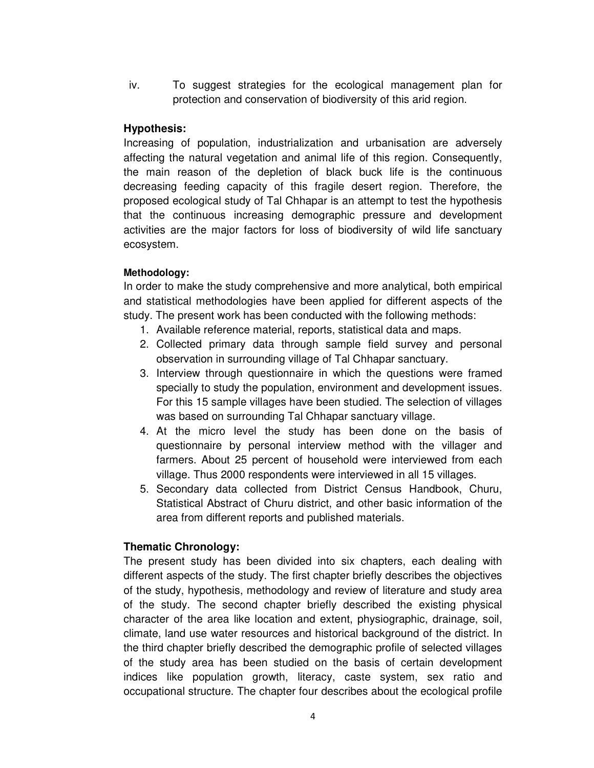iv. To suggest strategies for the ecological management plan for protection and conservation of biodiversity of this arid region.

## **Hypothesis:**

Increasing of population, industrialization and urbanisation are adversely affecting the natural vegetation and animal life of this region. Consequently, the main reason of the depletion of black buck life is the continuous decreasing feeding capacity of this fragile desert region. Therefore, the proposed ecological study of Tal Chhapar is an attempt to test the hypothesis that the continuous increasing demographic pressure and development activities are the major factors for loss of biodiversity of wild life sanctuary ecosystem.

## **Methodology:**

In order to make the study comprehensive and more analytical, both empirical and statistical methodologies have been applied for different aspects of the study. The present work has been conducted with the following methods:

- 1. Available reference material, reports, statistical data and maps.
- 2. Collected primary data through sample field survey and personal observation in surrounding village of Tal Chhapar sanctuary.
- 3. Interview through questionnaire in which the questions were framed specially to study the population, environment and development issues. For this 15 sample villages have been studied. The selection of villages was based on surrounding Tal Chhapar sanctuary village.
- 4. At the micro level the study has been done on the basis of questionnaire by personal interview method with the villager and farmers. About 25 percent of household were interviewed from each village. Thus 2000 respondents were interviewed in all 15 villages.
- 5. Secondary data collected from District Census Handbook, Churu, Statistical Abstract of Churu district, and other basic information of the area from different reports and published materials.

## **Thematic Chronology:**

The present study has been divided into six chapters, each dealing with different aspects of the study. The first chapter briefly describes the objectives of the study, hypothesis, methodology and review of literature and study area of the study. The second chapter briefly described the existing physical character of the area like location and extent, physiographic, drainage, soil, climate, land use water resources and historical background of the district. In the third chapter briefly described the demographic profile of selected villages of the study area has been studied on the basis of certain development indices like population growth, literacy, caste system, sex ratio and occupational structure. The chapter four describes about the ecological profile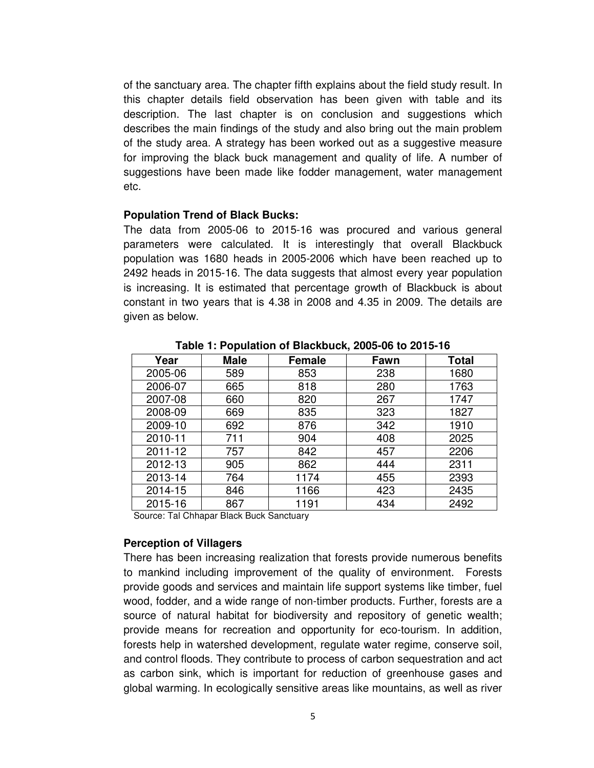of the sanctuary area. The chapter fifth explains about the field study result. In this chapter details field observation has been given with table and its description. The last chapter is on conclusion and suggestions which describes the main findings of the study and also bring out the main problem of the study area. A strategy has been worked out as a suggestive measure for improving the black buck management and quality of life. A number of suggestions have been made like fodder management, water management etc.

#### **Population Trend of Black Bucks:**

The data from 2005-06 to 2015-16 was procured and various general parameters were calculated. It is interestingly that overall Blackbuck population was 1680 heads in 2005-2006 which have been reached up to 2492 heads in 2015-16. The data suggests that almost every year population is increasing. It is estimated that percentage growth of Blackbuck is about constant in two years that is 4.38 in 2008 and 4.35 in 2009. The details are given as below.

| Year    | <b>Male</b> | <b>Female</b> | Fawn | <b>Total</b> |
|---------|-------------|---------------|------|--------------|
| 2005-06 | 589         | 853           | 238  | 1680         |
| 2006-07 | 665         | 818           | 280  | 1763         |
| 2007-08 | 660         | 820           | 267  | 1747         |
| 2008-09 | 669         | 835           | 323  | 1827         |
| 2009-10 | 692         | 876           | 342  | 1910         |
| 2010-11 | 711         | 904           | 408  | 2025         |
| 2011-12 | 757         | 842           | 457  | 2206         |
| 2012-13 | 905         | 862           | 444  | 2311         |
| 2013-14 | 764         | 1174          | 455  | 2393         |
| 2014-15 | 846         | 1166          | 423  | 2435         |
| 2015-16 | 867         | 1191          | 434  | 2492         |

**Table 1: Population of Blackbuck, 2005-06 to 2015-16** 

Source: Tal Chhapar Black Buck Sanctuary

#### **Perception of Villagers**

There has been increasing realization that forests provide numerous benefits to mankind including improvement of the quality of environment. Forests provide goods and services and maintain life support systems like timber, fuel wood, fodder, and a wide range of non-timber products. Further, forests are a source of natural habitat for biodiversity and repository of genetic wealth; provide means for recreation and opportunity for eco-tourism. In addition, forests help in watershed development, regulate water regime, conserve soil, and control floods. They contribute to process of carbon sequestration and act as carbon sink, which is important for reduction of greenhouse gases and global warming. In ecologically sensitive areas like mountains, as well as river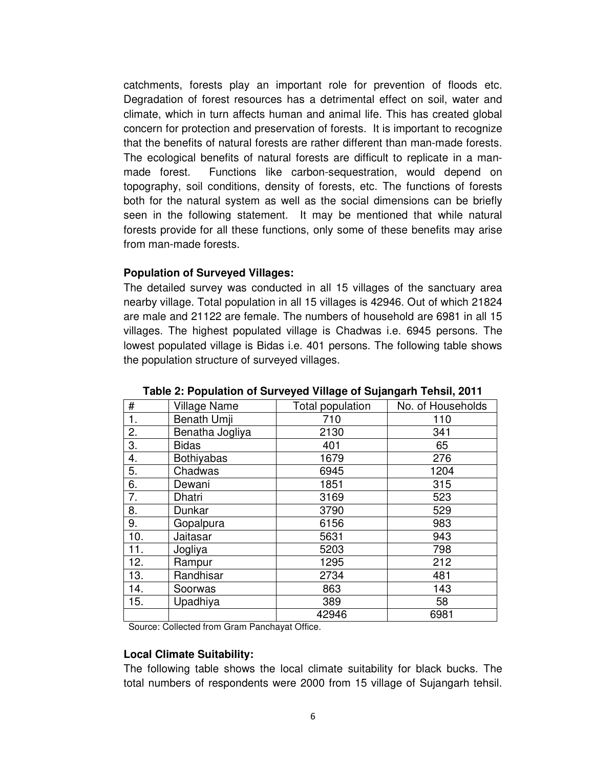catchments, forests play an important role for prevention of floods etc. Degradation of forest resources has a detrimental effect on soil, water and climate, which in turn affects human and animal life. This has created global concern for protection and preservation of forests. It is important to recognize that the benefits of natural forests are rather different than man-made forests. The ecological benefits of natural forests are difficult to replicate in a manmade forest. Functions like carbon-sequestration, would depend on topography, soil conditions, density of forests, etc. The functions of forests both for the natural system as well as the social dimensions can be briefly seen in the following statement. It may be mentioned that while natural forests provide for all these functions, only some of these benefits may arise from man-made forests.

### **Population of Surveyed Villages:**

The detailed survey was conducted in all 15 villages of the sanctuary area nearby village. Total population in all 15 villages is 42946. Out of which 21824 are male and 21122 are female. The numbers of household are 6981 in all 15 villages. The highest populated village is Chadwas i.e. 6945 persons. The lowest populated village is Bidas i.e. 401 persons. The following table shows the population structure of surveyed villages.

| #   | <b>Village Name</b> | Total population | No. of Households |
|-----|---------------------|------------------|-------------------|
| 1.  | Benath Umji         | 710              | 110               |
| 2.  | Benatha Jogliya     | 2130             | 341               |
| 3.  | <b>Bidas</b>        | 401              | 65                |
| 4.  | <b>Bothiyabas</b>   | 1679             | 276               |
| 5.  | Chadwas             | 6945             | 1204              |
| 6.  | Dewani              | 1851             | 315               |
| 7.  | Dhatri              | 3169             | 523               |
| 8.  | Dunkar              | 3790             | 529               |
| 9.  | Gopalpura           | 6156             | 983               |
| 10. | Jaitasar            | 5631             | 943               |
| 11. | Jogliya             | 5203             | 798               |
| 12. | Rampur              | 1295             | 212               |
| 13. | Randhisar           | 2734             | 481               |
| 14. | Soorwas             | 863              | 143               |
| 15. | Upadhiya            | 389              | 58                |
|     |                     | 42946            | 6981              |

**Table 2: Population of Surveyed Village of Sujangarh Tehsil, 2011** 

Source: Collected from Gram Panchayat Office.

#### **Local Climate Suitability:**

The following table shows the local climate suitability for black bucks. The total numbers of respondents were 2000 from 15 village of Sujangarh tehsil.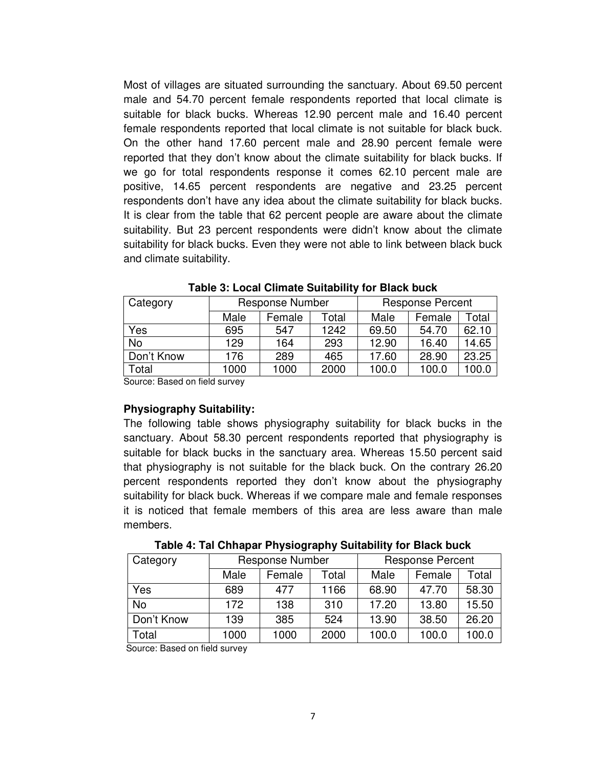Most of villages are situated surrounding the sanctuary. About 69.50 percent male and 54.70 percent female respondents reported that local climate is suitable for black bucks. Whereas 12.90 percent male and 16.40 percent female respondents reported that local climate is not suitable for black buck. On the other hand 17.60 percent male and 28.90 percent female were reported that they don't know about the climate suitability for black bucks. If we go for total respondents response it comes 62.10 percent male are positive, 14.65 percent respondents are negative and 23.25 percent respondents don't have any idea about the climate suitability for black bucks. It is clear from the table that 62 percent people are aware about the climate suitability. But 23 percent respondents were didn't know about the climate suitability for black bucks. Even they were not able to link between black buck and climate suitability.

| Category   | <b>Response Number</b> |        |       | <b>Response Percent</b> |        |       |  |
|------------|------------------------|--------|-------|-------------------------|--------|-------|--|
|            | Male                   | Female | Total | Male                    | Female | Total |  |
| Yes        | 695                    | 547    | 1242  | 69.50                   | 54.70  | 62.10 |  |
| <b>No</b>  | 129                    | 164    | 293   | 12.90                   | 16.40  | 14.65 |  |
| Don't Know | 176                    | 289    | 465   | 17.60                   | 28.90  | 23.25 |  |
| Total      | 1000                   | 1000   | 2000  | 100.0                   | 100.0  | 100.0 |  |

**Table 3: Local Climate Suitability for Black buck** 

Source: Based on field survey

### **Physiography Suitability:**

The following table shows physiography suitability for black bucks in the sanctuary. About 58.30 percent respondents reported that physiography is suitable for black bucks in the sanctuary area. Whereas 15.50 percent said that physiography is not suitable for the black buck. On the contrary 26.20 percent respondents reported they don't know about the physiography suitability for black buck. Whereas if we compare male and female responses it is noticed that female members of this area are less aware than male members.

| Category   | <b>Response Number</b> |        |       | <b>Response Percent</b> |        |       |
|------------|------------------------|--------|-------|-------------------------|--------|-------|
|            | Male                   | Female | Total | Male                    | Female | Total |
| Yes        | 689                    | 477    | 1166  | 68.90                   | 47.70  | 58.30 |
| <b>No</b>  | 172                    | 138    | 310   | 17.20                   | 13.80  | 15.50 |
| Don't Know | 139                    | 385    | 524   | 13.90                   | 38.50  | 26.20 |
| Total      | 1000                   | 1000   | 2000  | 100.0                   | 100.0  | 100.0 |

**Table 4: Tal Chhapar Physiography Suitability for Black buck** 

Source: Based on field survey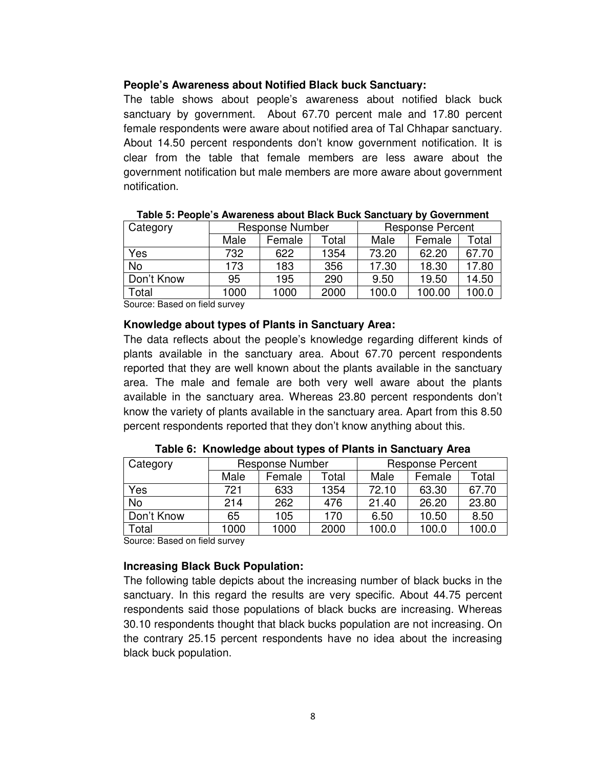## **People's Awareness about Notified Black buck Sanctuary:**

The table shows about people's awareness about notified black buck sanctuary by government. About 67.70 percent male and 17.80 percent female respondents were aware about notified area of Tal Chhapar sanctuary. About 14.50 percent respondents don't know government notification. It is clear from the table that female members are less aware about the government notification but male members are more aware about government notification.

| Category   | <b>Response Number</b> |        |       | <b>Response Percent</b> |        |       |
|------------|------------------------|--------|-------|-------------------------|--------|-------|
|            | Male                   | Female | Total | Male                    | Female | Total |
| Yes        | 732                    | 622    | 1354  | 73.20                   | 62.20  | 67.70 |
| No         | 173                    | 183    | 356   | 17.30                   | 18.30  | 17.80 |
| Don't Know | 95                     | 195    | 290   | 9.50                    | 19.50  | 14.50 |
| Total      | 1000                   | 1000   | 2000  | 100.0                   | 100.00 | 100.0 |

| Table 5: People's Awareness about Black Buck Sanctuary by Government |  |
|----------------------------------------------------------------------|--|
|                                                                      |  |

Source: Based on field survey

### **Knowledge about types of Plants in Sanctuary Area:**

The data reflects about the people's knowledge regarding different kinds of plants available in the sanctuary area. About 67.70 percent respondents reported that they are well known about the plants available in the sanctuary area. The male and female are both very well aware about the plants available in the sanctuary area. Whereas 23.80 percent respondents don't know the variety of plants available in the sanctuary area. Apart from this 8.50 percent respondents reported that they don't know anything about this.

| Category   | <b>Response Number</b> |        |       | <b>Response Percent</b> |        |       |
|------------|------------------------|--------|-------|-------------------------|--------|-------|
|            | Male                   | Female | Total | Male                    | Female | Total |
| Yes        | 721                    | 633    | 1354  | 72.10                   | 63.30  | 67.70 |
| No         | 214                    | 262    | 476   | 21.40                   | 26.20  | 23.80 |
| Don't Know | 65                     | 105    | 170   | 6.50                    | 10.50  | 8.50  |
| Total      | 1000                   | 1000   | 2000  | 100.0                   | 100.0  | 100.0 |

**Table 6: Knowledge about types of Plants in Sanctuary Area** 

Source: Based on field survey

## **Increasing Black Buck Population:**

The following table depicts about the increasing number of black bucks in the sanctuary. In this regard the results are very specific. About 44.75 percent respondents said those populations of black bucks are increasing. Whereas 30.10 respondents thought that black bucks population are not increasing. On the contrary 25.15 percent respondents have no idea about the increasing black buck population.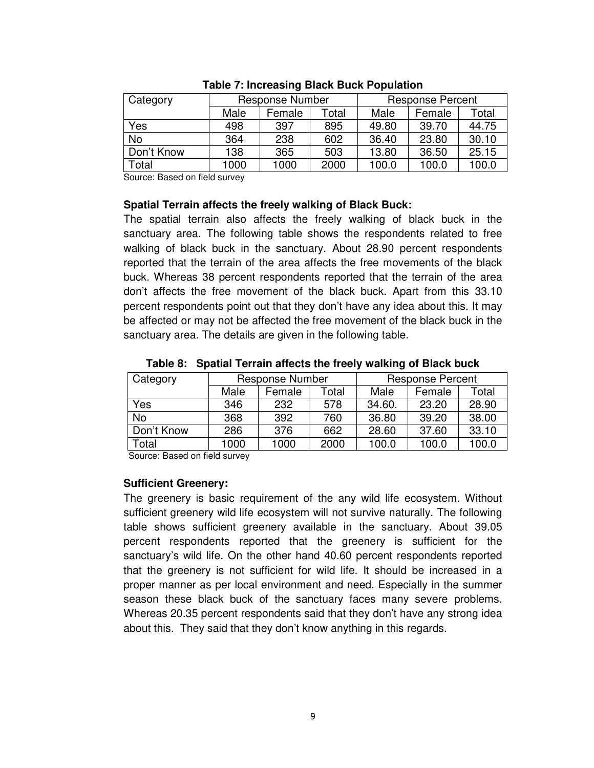| Category   |      | Response Number |       | <b>Response Percent</b> |        |       |
|------------|------|-----------------|-------|-------------------------|--------|-------|
|            | Male | Female          | Total | Male                    | Female | Total |
| Yes        | 498  | 397             | 895   | 49.80                   | 39.70  | 44.75 |
| No         | 364  | 238             | 602   | 36.40                   | 23.80  | 30.10 |
| Don't Know | 138  | 365             | 503   | 13.80                   | 36.50  | 25.15 |
| Total      | 1000 | 1000            | 2000  | 100.0                   | 100.0  | 100.0 |

#### **Table 7: Increasing Black Buck Population**

Source: Based on field survey

### **Spatial Terrain affects the freely walking of Black Buck:**

The spatial terrain also affects the freely walking of black buck in the sanctuary area. The following table shows the respondents related to free walking of black buck in the sanctuary. About 28.90 percent respondents reported that the terrain of the area affects the free movements of the black buck. Whereas 38 percent respondents reported that the terrain of the area don't affects the free movement of the black buck. Apart from this 33.10 percent respondents point out that they don't have any idea about this. It may be affected or may not be affected the free movement of the black buck in the sanctuary area. The details are given in the following table.

| Category   | Response Number |        |       | <b>Response Percent</b> |        |       |
|------------|-----------------|--------|-------|-------------------------|--------|-------|
|            | Male            | Female | Total | Male                    | Female | Total |
| Yes        | 346             | 232    | 578   | 34.60.                  | 23.20  | 28.90 |
| <b>No</b>  | 368             | 392    | 760   | 36.80                   | 39.20  | 38.00 |
| Don't Know | 286             | 376    | 662   | 28.60                   | 37.60  | 33.10 |
| Total      | 1000            | 1000   | 2000  | 100.0                   | 100.0  | 100.0 |

**Table 8: Spatial Terrain affects the freely walking of Black buck** 

Source: Based on field survey

### **Sufficient Greenery:**

The greenery is basic requirement of the any wild life ecosystem. Without sufficient greenery wild life ecosystem will not survive naturally. The following table shows sufficient greenery available in the sanctuary. About 39.05 percent respondents reported that the greenery is sufficient for the sanctuary's wild life. On the other hand 40.60 percent respondents reported that the greenery is not sufficient for wild life. It should be increased in a proper manner as per local environment and need. Especially in the summer season these black buck of the sanctuary faces many severe problems. Whereas 20.35 percent respondents said that they don't have any strong idea about this. They said that they don't know anything in this regards.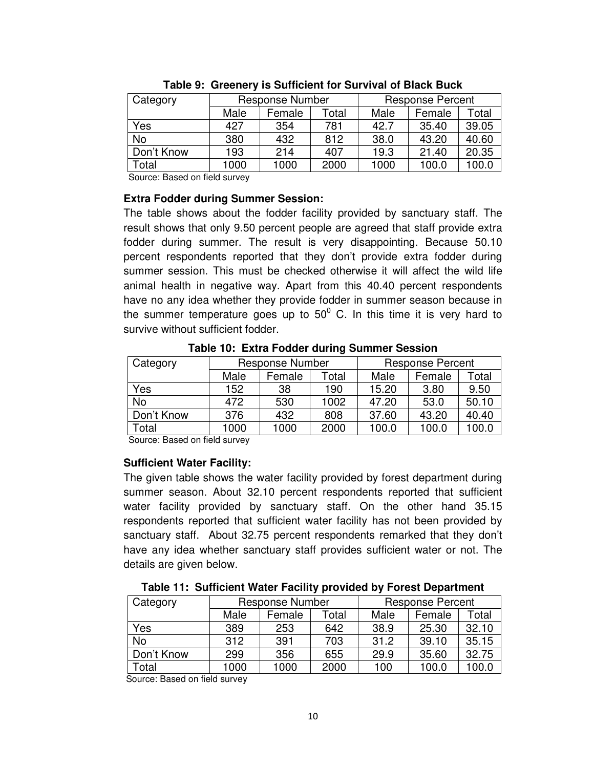| Category   | Response Number |        |       | <b>Response Percent</b> |        |       |
|------------|-----------------|--------|-------|-------------------------|--------|-------|
|            | Male            | Female | Total | Male                    | Female | Total |
| Yes        | 427             | 354    | 781   | 42.7                    | 35.40  | 39.05 |
| No         | 380             | 432    | 812   | 38.0                    | 43.20  | 40.60 |
| Don't Know | 193             | 214    | 407   | 19.3                    | 21.40  | 20.35 |
| Total      | 1000            | 1000   | 2000  | 1000                    | 100.0  | 100.0 |

**Table 9: Greenery is Sufficient for Survival of Black Buck** 

Source: Based on field survey

## **Extra Fodder during Summer Session:**

The table shows about the fodder facility provided by sanctuary staff. The result shows that only 9.50 percent people are agreed that staff provide extra fodder during summer. The result is very disappointing. Because 50.10 percent respondents reported that they don't provide extra fodder during summer session. This must be checked otherwise it will affect the wild life animal health in negative way. Apart from this 40.40 percent respondents have no any idea whether they provide fodder in summer season because in the summer temperature goes up to 50 $^{\circ}$  C. In this time it is very hard to survive without sufficient fodder.

| Category   | <b>Response Number</b> |                 |      | <b>Response Percent</b> |        |       |  |  |
|------------|------------------------|-----------------|------|-------------------------|--------|-------|--|--|
|            | Male                   | Female<br>Total |      |                         | Female | Total |  |  |
| Yes        | 152                    | 38              | 190  | 15.20                   | 3.80   | 9.50  |  |  |
| No         | 472                    | 530             | 1002 | 47.20                   | 53.0   | 50.10 |  |  |
| Don't Know | 376                    | 432             | 808  | 37.60                   | 43.20  | 40.40 |  |  |
| Total      | 1000                   | 1000            | 2000 | 100.0                   | 100.0  | 100.0 |  |  |

**Table 10: Extra Fodder during Summer Session** 

Source: Based on field survey

## **Sufficient Water Facility:**

The given table shows the water facility provided by forest department during summer season. About 32.10 percent respondents reported that sufficient water facility provided by sanctuary staff. On the other hand 35.15 respondents reported that sufficient water facility has not been provided by sanctuary staff. About 32.75 percent respondents remarked that they don't have any idea whether sanctuary staff provides sufficient water or not. The details are given below.

**Table 11: Sufficient Water Facility provided by Forest Department** 

| Category   | Response Number |        |       | <b>Response Percent</b> |        |       |  |
|------------|-----------------|--------|-------|-------------------------|--------|-------|--|
|            | Male            | Female | Total | Male                    | Female | Total |  |
| Yes        | 389             | 253    | 642   | 38.9                    | 25.30  | 32.10 |  |
| No         | 312             | 391    | 703   | 31.2                    | 39.10  | 35.15 |  |
| Don't Know | 299             | 356    | 655   | 29.9                    | 35.60  | 32.75 |  |
| Total      | 1000            | 1000   | 2000  | 100                     | 100.0  | 100.0 |  |

Source: Based on field survey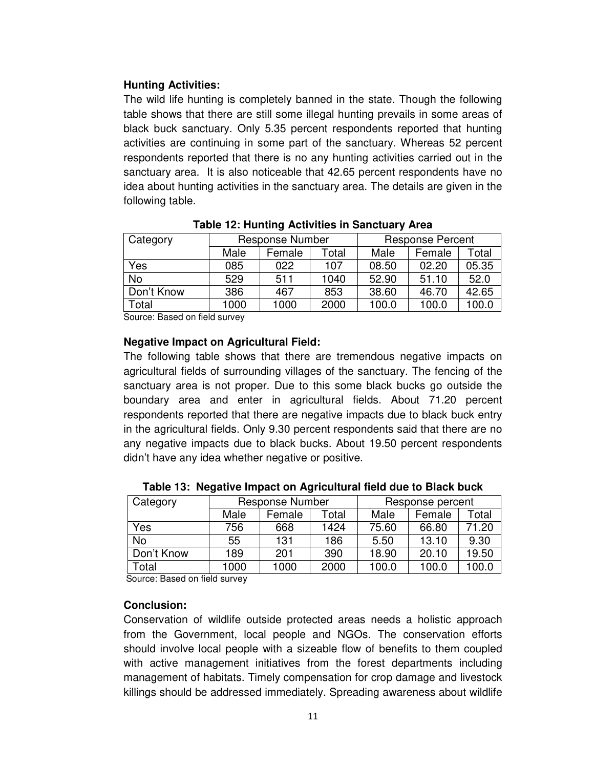## **Hunting Activities:**

The wild life hunting is completely banned in the state. Though the following table shows that there are still some illegal hunting prevails in some areas of black buck sanctuary. Only 5.35 percent respondents reported that hunting activities are continuing in some part of the sanctuary. Whereas 52 percent respondents reported that there is no any hunting activities carried out in the sanctuary area. It is also noticeable that 42.65 percent respondents have no idea about hunting activities in the sanctuary area. The details are given in the following table.

| Category   | <b>Response Number</b> |        |       | <b>Response Percent</b> |        |       |
|------------|------------------------|--------|-------|-------------------------|--------|-------|
|            | Male                   | Female | Total | Male                    | Female | Total |
| Yes        | 085                    | 022    | 107   | 08.50                   | 02.20  | 05.35 |
| No         | 529                    | 511    | 1040  | 52.90                   | 51.10  | 52.0  |
| Don't Know | 386                    | 467    | 853   | 38.60                   | 46.70  | 42.65 |
| Total      | 1000                   | 1000   | 2000  | 100.0                   | 100.0  | 100.0 |

**Table 12: Hunting Activities in Sanctuary Area** 

Source: Based on field survey

## **Negative Impact on Agricultural Field:**

The following table shows that there are tremendous negative impacts on agricultural fields of surrounding villages of the sanctuary. The fencing of the sanctuary area is not proper. Due to this some black bucks go outside the boundary area and enter in agricultural fields. About 71.20 percent respondents reported that there are negative impacts due to black buck entry in the agricultural fields. Only 9.30 percent respondents said that there are no any negative impacts due to black bucks. About 19.50 percent respondents didn't have any idea whether negative or positive.

| Category     | <b>Response Number</b> |        |                   | Response percent |        |       |
|--------------|------------------------|--------|-------------------|------------------|--------|-------|
|              | Male                   | Female | <sup>-</sup> otal | Male             | Female | Total |
| Yes          | 756                    | 668    | 1424              | 75.60            | 66.80  | 71.20 |
| <b>No</b>    | 55                     | 131    | 186               | 5.50             | 13.10  | 9.30  |
| Don't Know   | 189                    | 201    | 390               | 18.90            | 20.10  | 19.50 |
| <b>Total</b> | 1000                   | 1000   | 2000              | 100.0            | 100.0  | 100.0 |

**Table 13: Negative Impact on Agricultural field due to Black buck** 

Source: Based on field survey

## **Conclusion:**

Conservation of wildlife outside protected areas needs a holistic approach from the Government, local people and NGOs. The conservation efforts should involve local people with a sizeable flow of benefits to them coupled with active management initiatives from the forest departments including management of habitats. Timely compensation for crop damage and livestock killings should be addressed immediately. Spreading awareness about wildlife